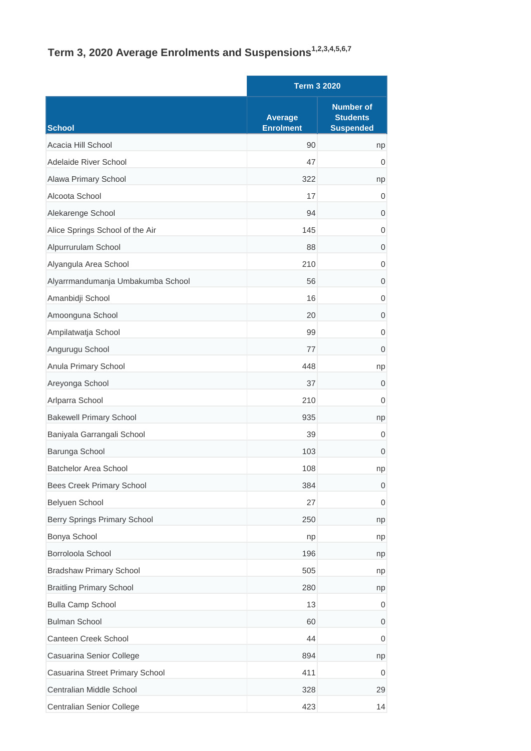## **Term 3, 2020 Average Enrolments and Suspensions1,2,3,4,5,6,7**

|                                   |                                    | <b>Term 3 2020</b>                                      |  |
|-----------------------------------|------------------------------------|---------------------------------------------------------|--|
| <b>School</b>                     | <b>Average</b><br><b>Enrolment</b> | <b>Number of</b><br><b>Students</b><br><b>Suspended</b> |  |
| Acacia Hill School                | 90                                 | np                                                      |  |
| Adelaide River School             | 47                                 | 0                                                       |  |
| Alawa Primary School              | 322                                | np                                                      |  |
| Alcoota School                    | 17                                 | $\mathbf 0$                                             |  |
| Alekarenge School                 | 94                                 | $\overline{0}$                                          |  |
| Alice Springs School of the Air   | 145                                | $\mathbf 0$                                             |  |
| Alpurrurulam School               | 88                                 | $\overline{0}$                                          |  |
| Alyangula Area School             | 210                                | $\mathbf 0$                                             |  |
| Alyarrmandumanja Umbakumba School | 56                                 | $\overline{0}$                                          |  |
| Amanbidji School                  | 16                                 | 0                                                       |  |
| Amoonguna School                  | 20                                 | $\mathbf 0$                                             |  |
| Ampilatwatja School               | 99                                 | $\overline{0}$                                          |  |
| Angurugu School                   | 77                                 | $\overline{0}$                                          |  |
| Anula Primary School              | 448                                | np                                                      |  |
| Areyonga School                   | 37                                 | $\overline{0}$                                          |  |
| Arlparra School                   | 210                                | $\mathbf 0$                                             |  |
| <b>Bakewell Primary School</b>    | 935                                | np                                                      |  |
| Baniyala Garrangali School        | 39                                 | 0                                                       |  |
| Barunga School                    | 103                                | $\overline{0}$                                          |  |
| Batchelor Area School             | 108                                | np                                                      |  |
| Bees Creek Primary School         | 384                                | $\mathbf 0$                                             |  |
| Belyuen School                    | 27                                 | 0                                                       |  |
| Berry Springs Primary School      | 250                                | np                                                      |  |
| Bonya School                      | np                                 | np                                                      |  |
| Borroloola School                 | 196                                | np                                                      |  |
| <b>Bradshaw Primary School</b>    | 505                                | np                                                      |  |
| <b>Braitling Primary School</b>   | 280                                | np                                                      |  |
| <b>Bulla Camp School</b>          | 13                                 | $\mathbf 0$                                             |  |
| <b>Bulman School</b>              | 60                                 | 0                                                       |  |
| Canteen Creek School              | 44                                 | $\mathbf 0$                                             |  |
| Casuarina Senior College          | 894                                | np                                                      |  |
| Casuarina Street Primary School   | 411                                | 0                                                       |  |
| Centralian Middle School          | 328                                | 29                                                      |  |
| Centralian Senior College         | 423                                | 14                                                      |  |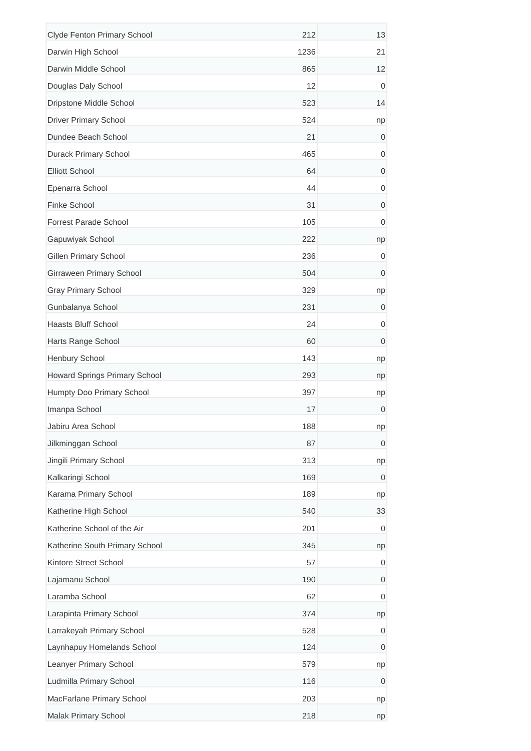| Clyde Fenton Primary School          | 212  | 13          |
|--------------------------------------|------|-------------|
| Darwin High School                   | 1236 | 21          |
| Darwin Middle School                 | 865  | 12          |
| Douglas Daly School                  | 12   | 0           |
| Dripstone Middle School              | 523  | 14          |
| <b>Driver Primary School</b>         | 524  | np          |
| Dundee Beach School                  | 21   | 0           |
| <b>Durack Primary School</b>         | 465  | $\mathbf 0$ |
| <b>Elliott School</b>                | 64   | 0           |
| Epenarra School                      | 44   | 0           |
| Finke School                         | 31   | $\mathbf 0$ |
| <b>Forrest Parade School</b>         | 105  | 0           |
| Gapuwiyak School                     | 222  | np          |
| <b>Gillen Primary School</b>         | 236  | 0           |
| Girraween Primary School             | 504  | 0           |
| <b>Gray Primary School</b>           | 329  | np          |
| Gunbalanya School                    | 231  | 0           |
| <b>Haasts Bluff School</b>           | 24   | $\mathbf 0$ |
| Harts Range School                   | 60   | $\mathbf 0$ |
| Henbury School                       | 143  | np          |
| <b>Howard Springs Primary School</b> | 293  | np          |
| Humpty Doo Primary School            | 397  | np          |
| Imanpa School                        | 17   | 0           |
| Jabiru Area School                   | 188  | np          |
| Jilkminggan School                   | 87   | $\mathbf 0$ |
| Jingili Primary School               | 313  | np          |
| Kalkaringi School                    | 169  | 0           |
| Karama Primary School                | 189  | np          |
| Katherine High School                | 540  | 33          |
| Katherine School of the Air          | 201  | 0           |
| Katherine South Primary School       | 345  | np          |
| Kintore Street School                | 57   | 0           |
| Lajamanu School                      | 190  | 0           |
| Laramba School                       | 62   | $\mathbf 0$ |
| Larapinta Primary School             | 374  | np          |
| Larrakeyah Primary School            | 528  | $\mathbf 0$ |
| Laynhapuy Homelands School           | 124  | 0           |
| Leanyer Primary School               | 579  | np          |
| Ludmilla Primary School              | 116  | 0           |
| MacFarlane Primary School            | 203  | np          |
| Malak Primary School                 | 218  | np          |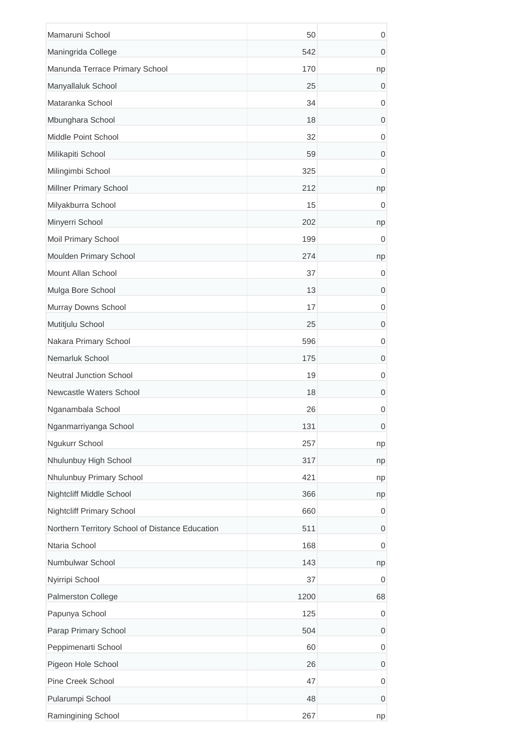| Mamaruni School                                 | 50   | $\mathbf 0$      |
|-------------------------------------------------|------|------------------|
| Maningrida College                              | 542  | $\mathbf 0$      |
| Manunda Terrace Primary School                  | 170  | np               |
| Manyallaluk School                              | 25   | 0                |
| Mataranka School                                | 34   | 0                |
| Mbunghara School                                | 18   | $\mathbf 0$      |
| Middle Point School                             | 32   | $\mathbf 0$      |
| Milikapiti School                               | 59   | $\mathbf 0$      |
| Milingimbi School                               | 325  | $\mathbf 0$      |
| Millner Primary School                          | 212  | np               |
| Milyakburra School                              | 15   | 0                |
| Minyerri School                                 | 202  | np               |
| Moil Primary School                             | 199  | 0                |
| Moulden Primary School                          | 274  | np               |
| Mount Allan School                              | 37   | 0                |
| Mulga Bore School                               | 13   | 0                |
| Murray Downs School                             | 17   | $\mathbf 0$      |
| Mutitjulu School                                | 25   | $\mathbf 0$      |
| Nakara Primary School                           | 596  | $\mathbf 0$      |
| Nemarluk School                                 | 175  | 0                |
| <b>Neutral Junction School</b>                  | 19   | $\mathbf 0$      |
| Newcastle Waters School                         | 18   | 0                |
| Nganambala School                               | 26   | $\mathbf 0$      |
| Nganmarriyanga School                           | 131  | $\boldsymbol{0}$ |
| Ngukurr School                                  | 257  | np               |
| Nhulunbuy High School                           | 317  | np               |
| Nhulunbuy Primary School                        | 421  | np               |
| Nightcliff Middle School                        | 366  | np               |
| Nightcliff Primary School                       | 660  | $\mathbf 0$      |
| Northern Territory School of Distance Education | 511  | $\mathbf 0$      |
| Ntaria School                                   | 168  | 0                |
| Numbulwar School                                | 143  | np               |
| Nyirripi School                                 | 37   | 0                |
| Palmerston College                              | 1200 | 68               |
| Papunya School                                  | 125  | $\mathbf 0$      |
| Parap Primary School                            | 504  | $\mathbf 0$      |
| Peppimenarti School                             | 60   | $\mathbf 0$      |
| Pigeon Hole School                              | 26   | 0                |
| Pine Creek School                               | 47   | $\mathbf 0$      |
| Pularumpi School                                | 48   | $\mathbf 0$      |
| Ramingining School                              | 267  | np               |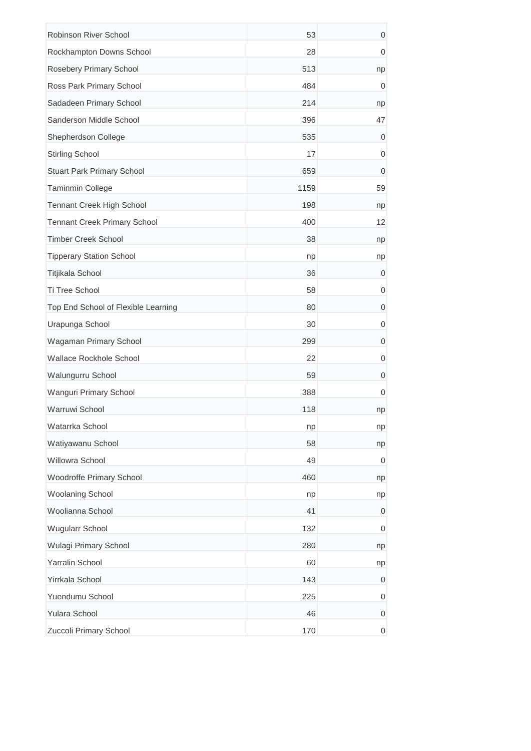| Robinson River School               | 53   | 0                |
|-------------------------------------|------|------------------|
| Rockhampton Downs School            | 28   | $\mathbf 0$      |
| Rosebery Primary School             | 513  | np               |
| Ross Park Primary School            | 484  | 0                |
| Sadadeen Primary School             | 214  | np               |
| Sanderson Middle School             | 396  | 47               |
| Shepherdson College                 | 535  | 0                |
| <b>Stirling School</b>              | 17   | $\mathbf 0$      |
| Stuart Park Primary School          | 659  | 0                |
| Taminmin College                    | 1159 | 59               |
| Tennant Creek High School           | 198  | np               |
| <b>Tennant Creek Primary School</b> | 400  | 12               |
| <b>Timber Creek School</b>          | 38   | np               |
| <b>Tipperary Station School</b>     | np   | np               |
| Titjikala School                    | 36   | 0                |
| Ti Tree School                      | 58   | 0                |
| Top End School of Flexible Learning | 80   | 0                |
| Urapunga School                     | 30   | 0                |
| Wagaman Primary School              | 299  | $\mathbf 0$      |
| Wallace Rockhole School             | 22   | 0                |
| Walungurru School                   | 59   | $\mathbf 0$      |
| Wanguri Primary School              | 388  | 0                |
| Warruwi School                      | 118  | np               |
| Watarrka School                     | np   | np               |
| Watiyawanu School                   | 58   | np               |
| Willowra School                     | 49   | 0                |
| Woodroffe Primary School            | 460  | np               |
| <b>Woolaning School</b>             | np   | np               |
| Woolianna School                    | 41   | 0                |
| <b>Wugularr School</b>              | 132  | $\mathbf 0$      |
| Wulagi Primary School               | 280  | np               |
| Yarralin School                     | 60   | np               |
| Yirrkala School                     | 143  | 0                |
| Yuendumu School                     | 225  | 0                |
| <b>Yulara School</b>                | 46   | $\mathbf 0$      |
| Zuccoli Primary School              | 170  | $\boldsymbol{0}$ |